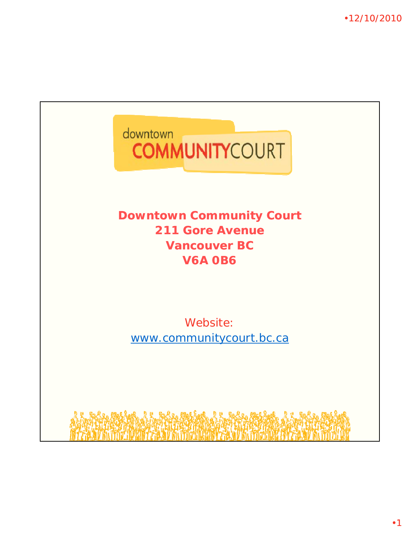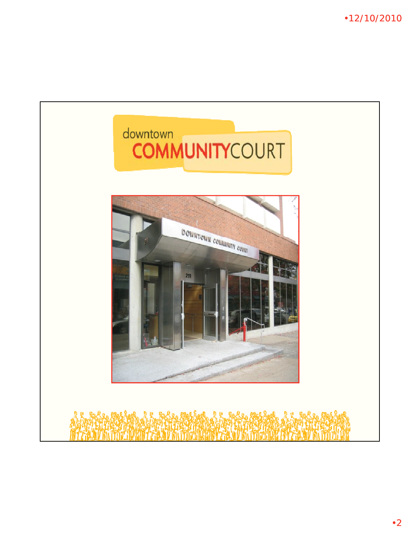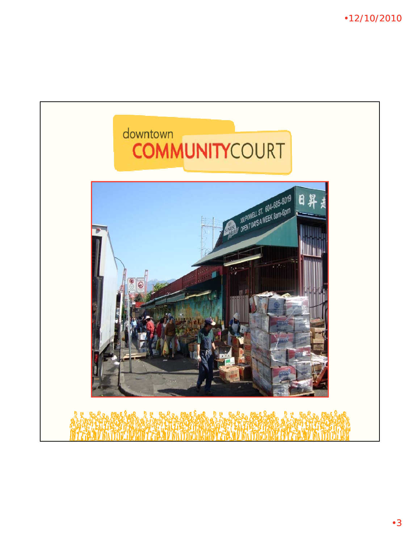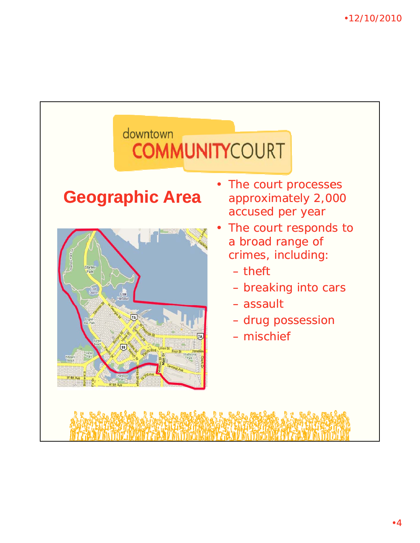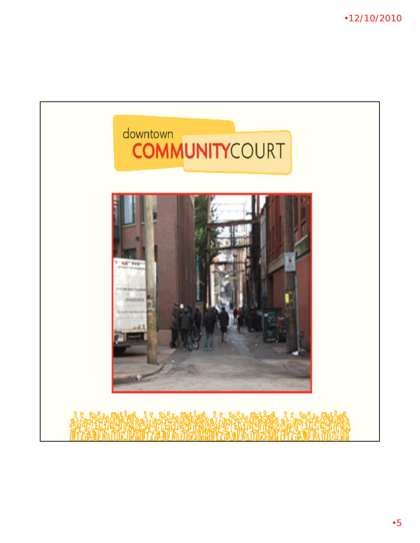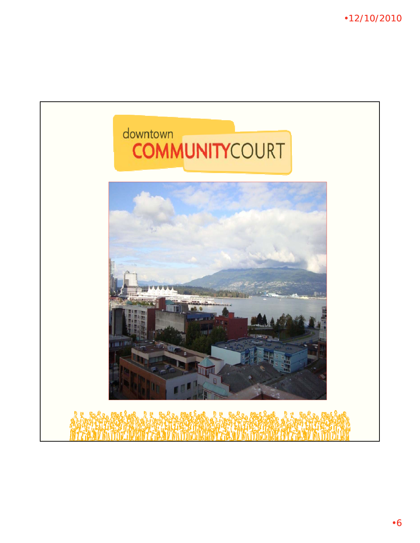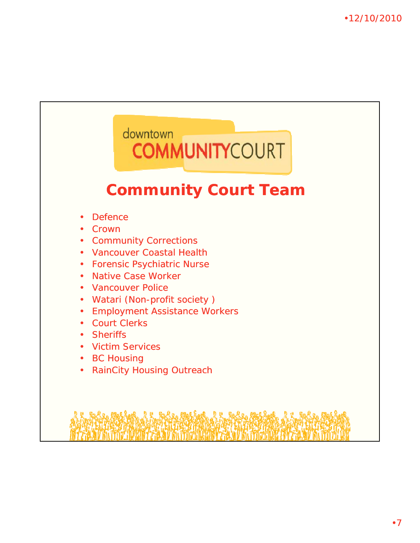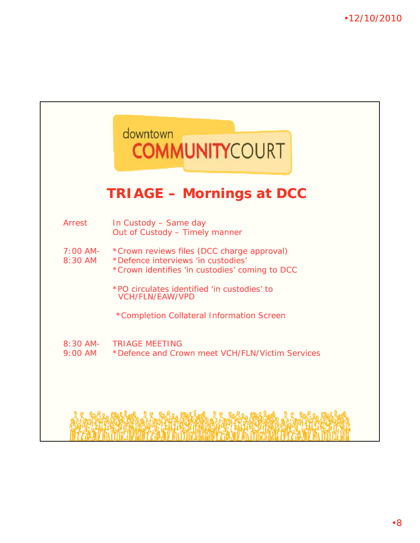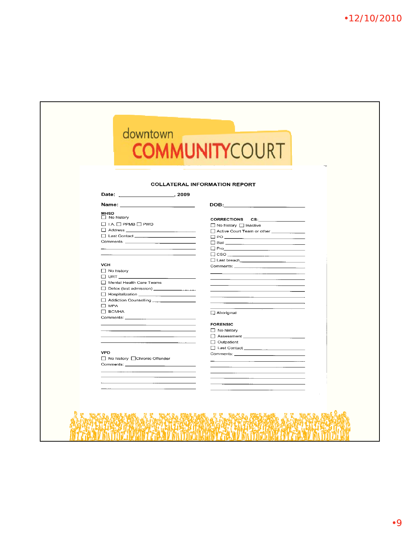| <b>COLLATERAL INFORMATION REPORT</b><br>Name: __________________________<br><b>MHSD</b>                                                                           | <b>COMMUNITYCOURT</b>                                                                                                                                                                                                                |
|-------------------------------------------------------------------------------------------------------------------------------------------------------------------|--------------------------------------------------------------------------------------------------------------------------------------------------------------------------------------------------------------------------------------|
|                                                                                                                                                                   |                                                                                                                                                                                                                                      |
|                                                                                                                                                                   |                                                                                                                                                                                                                                      |
|                                                                                                                                                                   |                                                                                                                                                                                                                                      |
|                                                                                                                                                                   |                                                                                                                                                                                                                                      |
|                                                                                                                                                                   |                                                                                                                                                                                                                                      |
|                                                                                                                                                                   |                                                                                                                                                                                                                                      |
|                                                                                                                                                                   | DOB:_____________                                                                                                                                                                                                                    |
| $\Box$ No history                                                                                                                                                 |                                                                                                                                                                                                                                      |
| $\Box$ I.A. $\Box$ PPMB $\Box$ PWD                                                                                                                                | CORRECTIONS CS:                                                                                                                                                                                                                      |
| $\Box$ Address                                                                                                                                                    | $\Box$ No history $\Box$ Inactive                                                                                                                                                                                                    |
| $\begin{tabular}{ c c c c } \hline \quad & \quad & \quad & \quad & \quad & \quad \\ \hline \quad & \quad & \quad & \quad & \quad & \quad \\ \hline \end{tabular}$ | Active Court Team or other                                                                                                                                                                                                           |
|                                                                                                                                                                   | <b>Bail</b> Bail <b>Bail Bail Bail Bail Bail Bail Bail Bail Bail Bail Bail Bail Bail Bail Bail Bail Bail Bail Bail Bail Bail Bail Bail Bail Bail Bail Bail Bail Bail Bail</b>                                                        |
|                                                                                                                                                                   | $\Box$ Pro $\Box$                                                                                                                                                                                                                    |
|                                                                                                                                                                   | $\Box$ CSO $\Box$ CSO $\Box$                                                                                                                                                                                                         |
|                                                                                                                                                                   | Last breach <b>Executive Contract Contract Contract Contract Contract Contract Contract Contract Contract Contract Contract Contract Contract Contract Contract Contract Contract Contract Contract Contract Contract Contract C</b> |
| <b>VCH</b>                                                                                                                                                        | Comments: Commercial Comments:                                                                                                                                                                                                       |
| $\Box$ No history                                                                                                                                                 |                                                                                                                                                                                                                                      |
| $\square$ URT $\square$                                                                                                                                           |                                                                                                                                                                                                                                      |
| Mental Health Care Teams                                                                                                                                          |                                                                                                                                                                                                                                      |
| Detox (last admission) _____________________                                                                                                                      |                                                                                                                                                                                                                                      |
|                                                                                                                                                                   |                                                                                                                                                                                                                                      |
| Addiction Counselling _______________<br>□ MPA                                                                                                                    |                                                                                                                                                                                                                                      |
| П ВСМНА                                                                                                                                                           |                                                                                                                                                                                                                                      |
|                                                                                                                                                                   | Aboriginal                                                                                                                                                                                                                           |
|                                                                                                                                                                   | <b>FORENSIC</b>                                                                                                                                                                                                                      |
| <u> 1989 - Johann John Stone, mars et al. (</u>                                                                                                                   | No history                                                                                                                                                                                                                           |
|                                                                                                                                                                   |                                                                                                                                                                                                                                      |
|                                                                                                                                                                   | $\Box$ Outpatient                                                                                                                                                                                                                    |
|                                                                                                                                                                   | □ Last Contact <u>__________________________</u>                                                                                                                                                                                     |
| <b>VPD</b>                                                                                                                                                        |                                                                                                                                                                                                                                      |
| □ No history □ Chronic Offender                                                                                                                                   |                                                                                                                                                                                                                                      |
|                                                                                                                                                                   |                                                                                                                                                                                                                                      |
|                                                                                                                                                                   |                                                                                                                                                                                                                                      |
|                                                                                                                                                                   |                                                                                                                                                                                                                                      |
|                                                                                                                                                                   |                                                                                                                                                                                                                                      |
|                                                                                                                                                                   |                                                                                                                                                                                                                                      |
|                                                                                                                                                                   |                                                                                                                                                                                                                                      |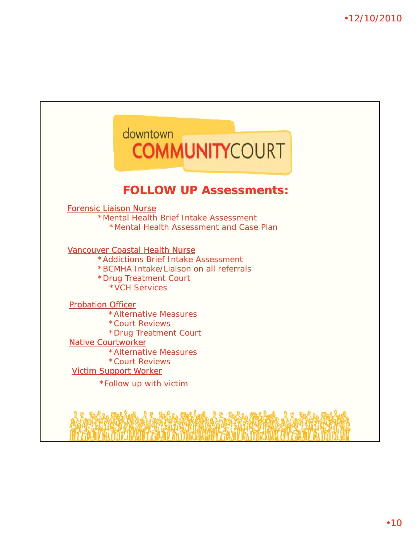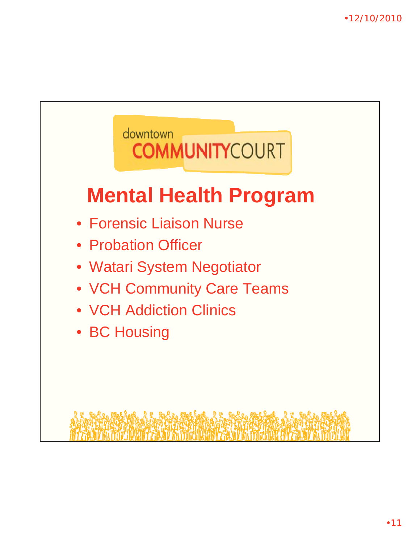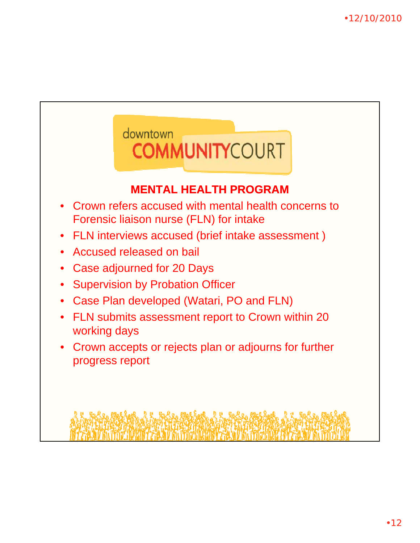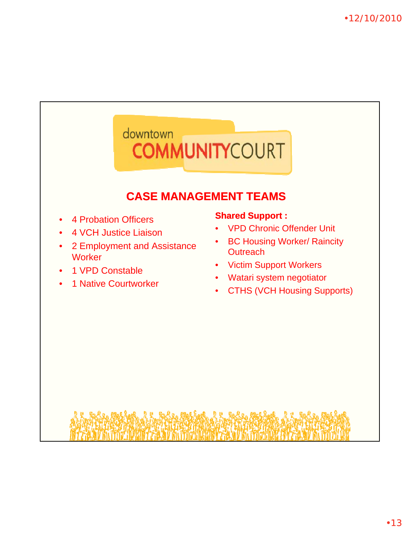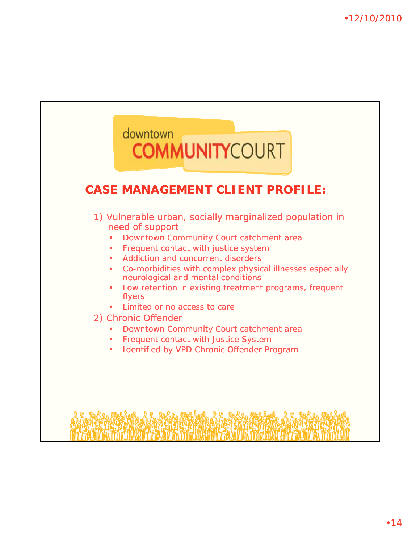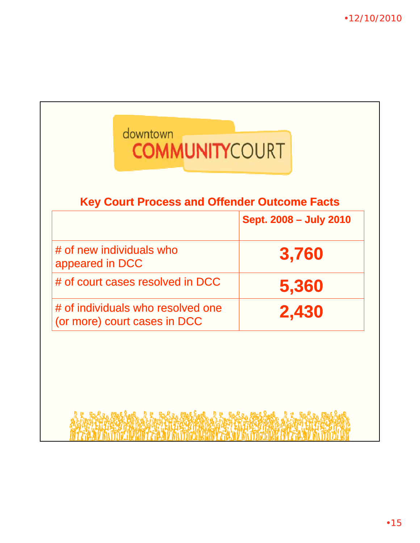|                                                                   | Sept. 2008 - July 2010 |  |
|-------------------------------------------------------------------|------------------------|--|
| # of new individuals who<br>appeared in DCC                       | 3,760                  |  |
| # of court cases resolved in DCC                                  | 5,360                  |  |
| # of individuals who resolved one<br>(or more) court cases in DCC | 2,430                  |  |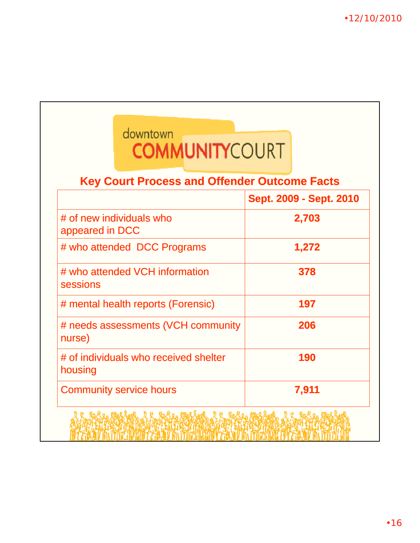## downtown<br> **COMMUNITY**COURT

## **Key Court Process and Offender Outcome Facts**

| # of new individuals who<br>appeared in DCC<br># who attended DCC Programs<br># who attended VCH information | 2,703<br>1,272 |  |  |
|--------------------------------------------------------------------------------------------------------------|----------------|--|--|
|                                                                                                              |                |  |  |
|                                                                                                              |                |  |  |
| sessions                                                                                                     | 378            |  |  |
| # mental health reports (Forensic)                                                                           | 197            |  |  |
| # needs assessments (VCH community<br>nurse)                                                                 | 206            |  |  |
| # of individuals who received shelter<br>housing                                                             | 190            |  |  |
| <b>Community service hours</b>                                                                               | 7,911          |  |  |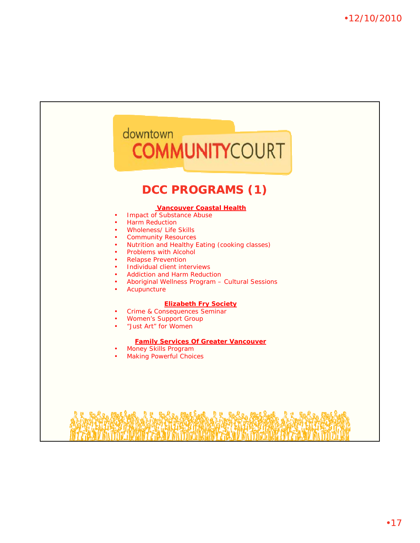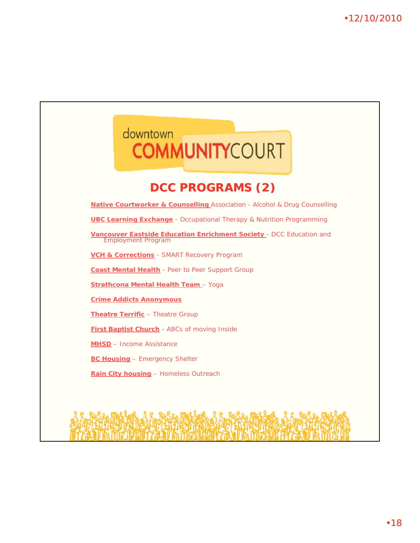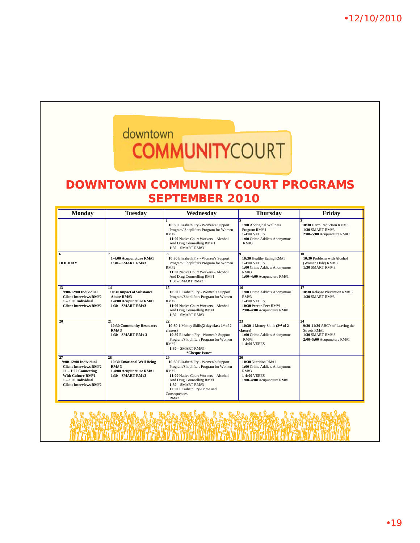## downtown **COMMUNITY**COURT

## **DOWNTOWN COMMUNITY COURT PROGRAMS SEPTEMBER 2010**

| Monday                                                                                                                                                                | <b>Tuesday</b>                                                                                    | Wednesdav                                                                                                                                                                                                                                         | <b>Thursday</b>                                                                                                       | Friday                                                                                                 |
|-----------------------------------------------------------------------------------------------------------------------------------------------------------------------|---------------------------------------------------------------------------------------------------|---------------------------------------------------------------------------------------------------------------------------------------------------------------------------------------------------------------------------------------------------|-----------------------------------------------------------------------------------------------------------------------|--------------------------------------------------------------------------------------------------------|
|                                                                                                                                                                       |                                                                                                   | 10:30 Elizabeth Fry - Women's Support<br>Program/Shoplifters Program for Women<br>RM#2<br>11:00 Native Court Workers - Alcohol<br>And Drug Counselling RM#1<br>1:30 - SMART RM#3                                                                  | 1:00 Aboriginal Wellness<br>Program RM#1<br>1-4:00 VEEES<br>1:00 Crime Addicts Anonymous<br>RM#3                      | 10:30 Harm Reduction RM# 3<br>1:30 SMART RM#3<br>$2:00-5:00$ Acupuncture RM#1                          |
| l6<br><b>HOLIDAY</b>                                                                                                                                                  | 1-4:00 Acupuncture RM#1<br>1:30 - SMART RM#3                                                      | 8<br>10:30 Elizabeth Fry - Women's Support<br>Program/Shoplifters Program for Women<br>RM#2<br>11:00 Native Court Workers - Alcohol<br>And Drug Counselling RM#1<br>1:30 - SMART RM#3                                                             | l٥<br>10:30 Healthy Eating RM#1<br>1-4:00 VEEES<br>1:00 Crime Addicts Anonymous<br>RM#3<br>1:00-4:00 Acupuncture RM#1 | 10<br>10:30 Problems with Alcohol<br>(Women Only) RM#3<br>1:30 SMART RM#3                              |
| 13<br>$9:00-12:00$ Individual<br><b>Client Interviews RM#2</b><br>$1 - 3:00$ Individual<br><b>Client Interviews RM#2</b>                                              | 14<br>10:30 Impact of Substance<br>Abuse RM#3<br>1-4:00 Acupuncture RM#1<br>1:30 - SMART RM#3     | 15<br>10:30 Elizabeth Fry - Women's Support<br>Program/Shoplifters Program for Women<br>RM#2<br>11:00 Native Court Workers - Alcohol<br>And Drug Counselling RM#1<br>$1:30 - SMART RM#3$                                                          | 16<br>1:00 Crime Addicts Anonymous<br>RM#3<br>1-4:00 VEEES<br>10:30 Peer to Peer RM#1<br>2:00-4:00 Acupuncture RM#1   | 17<br>10:30 Relapse Prevention RM# 3<br>1:30 SMART RM#3                                                |
| 20                                                                                                                                                                    | 21<br>10:30 Community Resources<br>RM#3<br>1:30 - SMART RM#3                                      | 22<br>10:30-1 Money Skills (2 day class 1st of 2<br>classes)<br>10:30 Elizabeth Fry - Women's Support<br>Program/Shoplifters Program for Women<br>RM#2<br>$1:30 - SMART RM#3$<br>*Cheque Issue*                                                   | 23<br>10:30-1 Money Skills $(2nd$ of 2<br>classes)<br>1:00 Crime Addicts Anonymous<br>RM#3<br>1-4:00 VEEES            | 24<br>9:30-11:30 ABC's of Leaving the<br>Streets RM#1<br>1:30 SMART RM#3<br>2:00-5:00 Acupuncture RM#1 |
| 27<br>9:00-12:00 Individual<br><b>Client Interviews RM#2</b><br>$11 - 1:00$ Connecting<br>With Culture RM#1<br>$1 - 3:00$ Individual<br><b>Client Interviews RM#2</b> | 28<br>10:30 Emotional Well Being<br><b>RM#3</b><br>1-4:00 Acupuncture RM#1<br>$1:30 - SMART RMH3$ | 29<br>10:30 Elizabeth Fry - Women's Support<br>Program/Shoplifters Program for Women<br>RM#2<br>11:00 Native Court Workers - Alcohol<br>And Drug Counselling RM#1<br>$1:30 - SMART RM#3$<br>12:00 Elizabeth Fry-Crime and<br>Consequences<br>RM#2 | 30<br>10:30 Nutrition RM#1<br>1:00 Crime Addicts Anonymous<br>RM#3<br>1-4:00 VEEES<br>1:00-4:00 Acupuncture RM#1      |                                                                                                        |

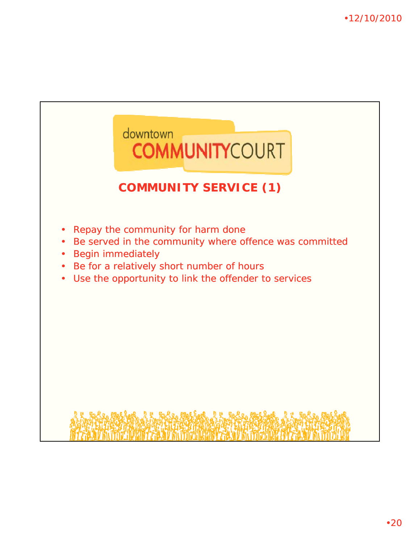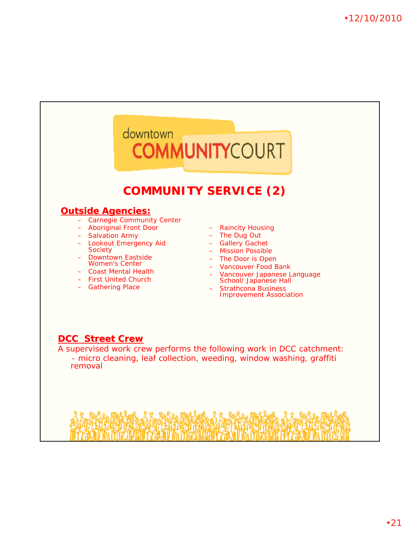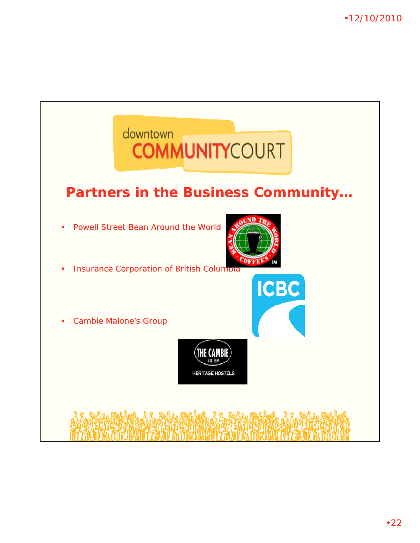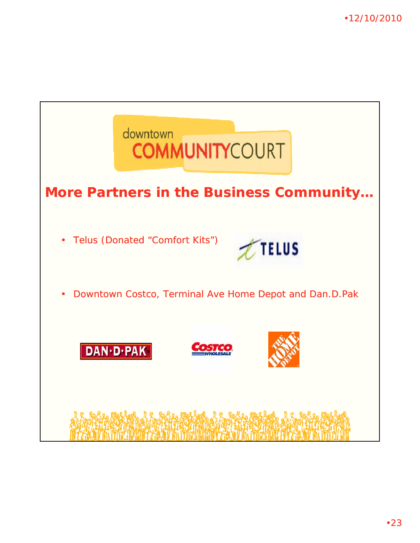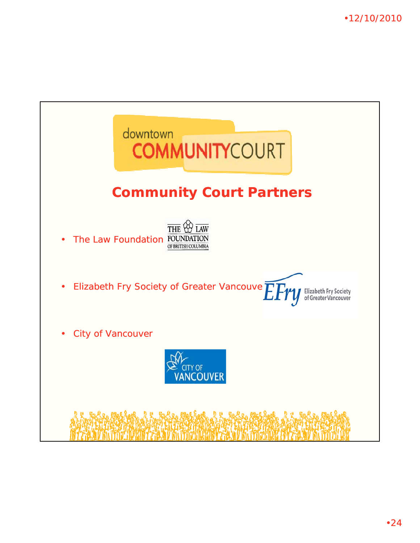